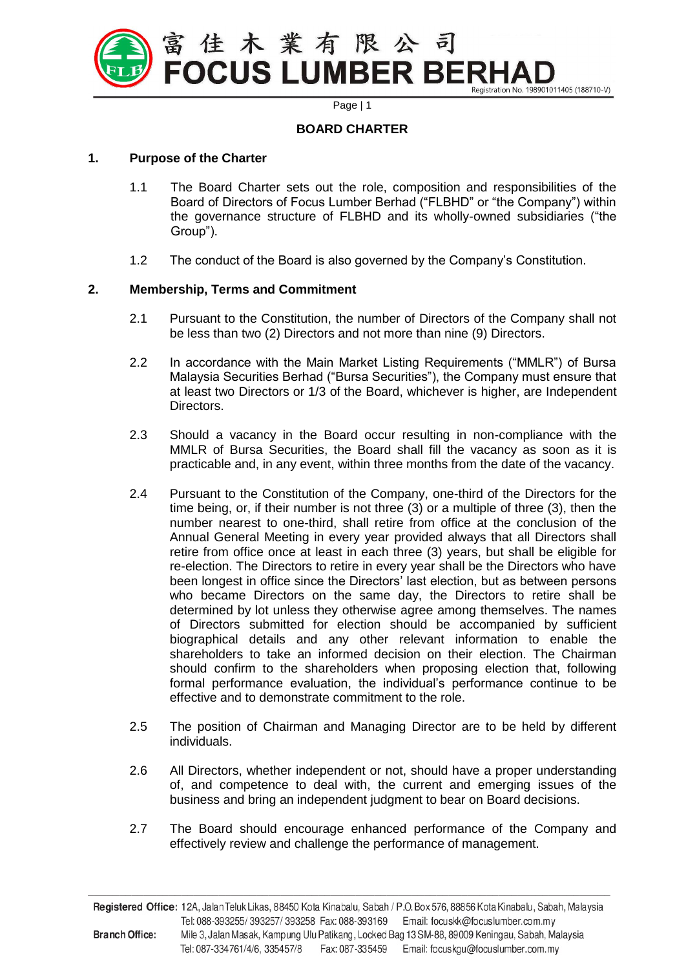

# **BOARD CHARTER**

#### **1. Purpose of the Charter**

- 1.1 The Board Charter sets out the role, composition and responsibilities of the Board of Directors of Focus Lumber Berhad ("FLBHD" or "the Company") within the governance structure of FLBHD and its wholly-owned subsidiaries ("the Group").
- 1.2 The conduct of the Board is also governed by the Company's Constitution.

## **2. Membership, Terms and Commitment**

- 2.1 Pursuant to the Constitution, the number of Directors of the Company shall not be less than two (2) Directors and not more than nine (9) Directors.
- 2.2 In accordance with the Main Market Listing Requirements ("MMLR") of Bursa Malaysia Securities Berhad ("Bursa Securities"), the Company must ensure that at least two Directors or 1/3 of the Board, whichever is higher, are Independent Directors.
- 2.3 Should a vacancy in the Board occur resulting in non-compliance with the MMLR of Bursa Securities, the Board shall fill the vacancy as soon as it is practicable and, in any event, within three months from the date of the vacancy.
- 2.4 Pursuant to the Constitution of the Company, one-third of the Directors for the time being, or, if their number is not three (3) or a multiple of three (3), then the number nearest to one-third, shall retire from office at the conclusion of the Annual General Meeting in every year provided always that all Directors shall retire from office once at least in each three (3) years, but shall be eligible for re-election. The Directors to retire in every year shall be the Directors who have been longest in office since the Directors' last election, but as between persons who became Directors on the same day, the Directors to retire shall be determined by lot unless they otherwise agree among themselves. The names of Directors submitted for election should be accompanied by sufficient biographical details and any other relevant information to enable the shareholders to take an informed decision on their election. The Chairman should confirm to the shareholders when proposing election that, following formal performance evaluation, the individual's performance continue to be effective and to demonstrate commitment to the role.
- 2.5 The position of Chairman and Managing Director are to be held by different individuals.
- 2.6 All Directors, whether independent or not, should have a proper understanding of, and competence to deal with, the current and emerging issues of the business and bring an independent judgment to bear on Board decisions.
- 2.7 The Board should encourage enhanced performance of the Company and effectively review and challenge the performance of management.

Registered Office: 12A, Jalan Teluk Likas, 88450 Kota Kinabalu, Sabah / P.O. Box 576, 88856 Kota Kinabalu, Sabah, Malaysia Tel: 088-393255/393257/393258 Fax: 088-393169 Email: focuskk@focuslumber.com.my **Branch Office:** Mile 3, Jalan Masak, Kampung Ulu Patikang, Locked Bag 13 SM-88, 89009 Keningau, Sabah, Malaysia Tel: 087-334761/4/6, 335457/8 Fax: 087-335459 Email: focuskgu@focuslumber.com.my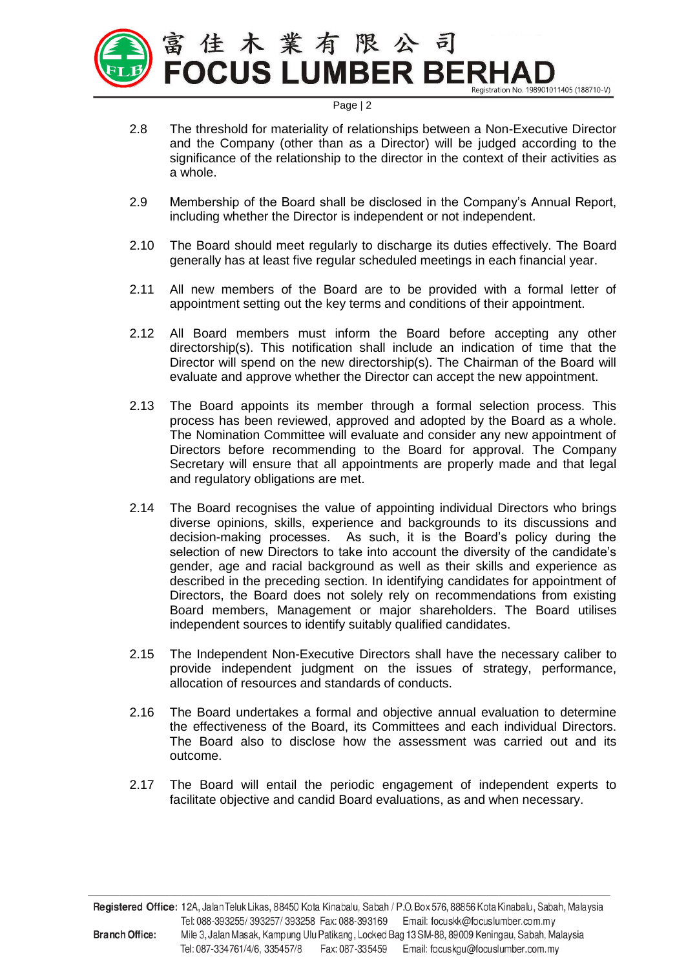

- 2.8 The threshold for materiality of relationships between a Non-Executive Director and the Company (other than as a Director) will be judged according to the significance of the relationship to the director in the context of their activities as a whole.
- 2.9 Membership of the Board shall be disclosed in the Company's Annual Report, including whether the Director is independent or not independent.
- 2.10 The Board should meet regularly to discharge its duties effectively. The Board generally has at least five regular scheduled meetings in each financial year.
- 2.11 All new members of the Board are to be provided with a formal letter of appointment setting out the key terms and conditions of their appointment.
- 2.12 All Board members must inform the Board before accepting any other directorship(s). This notification shall include an indication of time that the Director will spend on the new directorship(s). The Chairman of the Board will evaluate and approve whether the Director can accept the new appointment.
- 2.13 The Board appoints its member through a formal selection process. This process has been reviewed, approved and adopted by the Board as a whole. The Nomination Committee will evaluate and consider any new appointment of Directors before recommending to the Board for approval. The Company Secretary will ensure that all appointments are properly made and that legal and regulatory obligations are met.
- 2.14 The Board recognises the value of appointing individual Directors who brings diverse opinions, skills, experience and backgrounds to its discussions and decision-making processes. As such, it is the Board's policy during the selection of new Directors to take into account the diversity of the candidate's gender, age and racial background as well as their skills and experience as described in the preceding section. In identifying candidates for appointment of Directors, the Board does not solely rely on recommendations from existing Board members, Management or major shareholders. The Board utilises independent sources to identify suitably qualified candidates.
- 2.15 The Independent Non-Executive Directors shall have the necessary caliber to provide independent judgment on the issues of strategy, performance, allocation of resources and standards of conducts.
- 2.16 The Board undertakes a formal and objective annual evaluation to determine the effectiveness of the Board, its Committees and each individual Directors. The Board also to disclose how the assessment was carried out and its outcome.
- 2.17 The Board will entail the periodic engagement of independent experts to facilitate objective and candid Board evaluations, as and when necessary.

Registered Office: 12A, Jalan Teluk Likas, 88450 Kota Kinabalu, Sabah / P.O. Box 576, 88856 Kota Kinabalu, Sabah, Malaysia Tel: 088-393255/393257/393258 Fax: 088-393169 Email: focuskk@focuslumber.com.my **Branch Office:** Mile 3, Jalan Masak, Kampung Ulu Patikang, Locked Bag 13 SM-88, 89009 Keningau, Sabah, Malaysia Tel: 087-334761/4/6, 335457/8 Fax: 087-335459 Email: focuskgu@focuslumber.com.my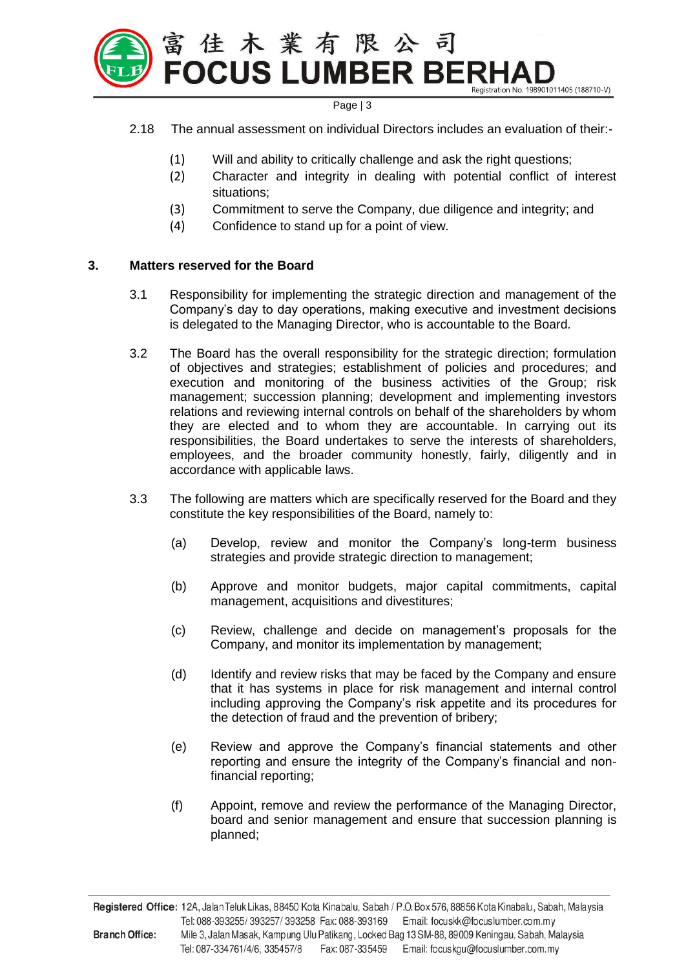

- 2.18 The annual assessment on individual Directors includes an evaluation of their:-
	- (1) Will and ability to critically challenge and ask the right questions;
	- (2) Character and integrity in dealing with potential conflict of interest situations;
	- (3) Commitment to serve the Company, due diligence and integrity; and
	- (4) Confidence to stand up for a point of view.

#### **3. Matters reserved for the Board**

- 3.1 Responsibility for implementing the strategic direction and management of the Company's day to day operations, making executive and investment decisions is delegated to the Managing Director, who is accountable to the Board.
- 3.2 The Board has the overall responsibility for the strategic direction; formulation of objectives and strategies; establishment of policies and procedures; and execution and monitoring of the business activities of the Group; risk management; succession planning; development and implementing investors relations and reviewing internal controls on behalf of the shareholders by whom they are elected and to whom they are accountable. In carrying out its responsibilities, the Board undertakes to serve the interests of shareholders, employees, and the broader community honestly, fairly, diligently and in accordance with applicable laws.
- 3.3 The following are matters which are specifically reserved for the Board and they constitute the key responsibilities of the Board, namely to:
	- (a) Develop, review and monitor the Company's long-term business strategies and provide strategic direction to management;
	- (b) Approve and monitor budgets, major capital commitments, capital management, acquisitions and divestitures;
	- (c) Review, challenge and decide on management's proposals for the Company, and monitor its implementation by management;
	- (d) Identify and review risks that may be faced by the Company and ensure that it has systems in place for risk management and internal control including approving the Company's risk appetite and its procedures for the detection of fraud and the prevention of bribery;
	- (e) Review and approve the Company's financial statements and other reporting and ensure the integrity of the Company's financial and nonfinancial reporting;
	- (f) Appoint, remove and review the performance of the Managing Director, board and senior management and ensure that succession planning is planned;

Registered Office: 12A, Jalan Teluk Likas, 88450 Kota Kinabalu, Sabah / P.O. Box 576, 88856 Kota Kinabalu, Sabah, Malaysia Tel: 088-393255/393257/393258 Fax: 088-393169 Email: focuskk@focuslumber.com.my **Branch Office:** Mile 3, Jalan Masak, Kampung Ulu Patikang, Locked Bag 13 SM-88, 89009 Keningau, Sabah, Malaysia Tel: 087-334761/4/6, 335457/8 Fax: 087-335459 Email: focuskgu@focuslumber.com.my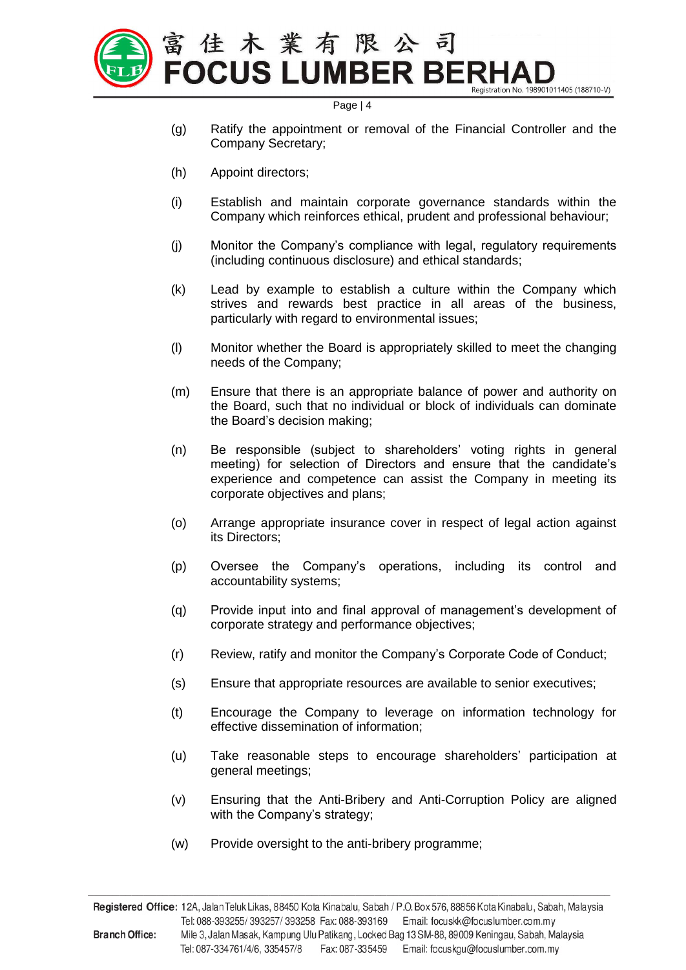

- (g) Ratify the appointment or removal of the Financial Controller and the Company Secretary;
- (h) Appoint directors;
- (i) Establish and maintain corporate governance standards within the Company which reinforces ethical, prudent and professional behaviour;
- (j) Monitor the Company's compliance with legal, regulatory requirements (including continuous disclosure) and ethical standards;
- (k) Lead by example to establish a culture within the Company which strives and rewards best practice in all areas of the business, particularly with regard to environmental issues;
- (l) Monitor whether the Board is appropriately skilled to meet the changing needs of the Company;
- (m) Ensure that there is an appropriate balance of power and authority on the Board, such that no individual or block of individuals can dominate the Board's decision making;
- (n) Be responsible (subject to shareholders' voting rights in general meeting) for selection of Directors and ensure that the candidate's experience and competence can assist the Company in meeting its corporate objectives and plans;
- (o) Arrange appropriate insurance cover in respect of legal action against its Directors;
- (p) Oversee the Company's operations, including its control and accountability systems;
- (q) Provide input into and final approval of management's development of corporate strategy and performance objectives;
- (r) Review, ratify and monitor the Company's Corporate Code of Conduct;
- (s) Ensure that appropriate resources are available to senior executives;
- (t) Encourage the Company to leverage on information technology for effective dissemination of information;
- (u) Take reasonable steps to encourage shareholders' participation at general meetings;
- (v) Ensuring that the Anti-Bribery and Anti-Corruption Policy are aligned with the Company's strategy;
- (w) Provide oversight to the anti-bribery programme;

Registered Office: 12A, Jalan Teluk Likas, 88450 Kota Kinabalu, Sabah / P.O. Box 576, 88856 Kota Kinabalu, Sabah, Malaysia Tel: 088-393255/393257/393258 Fax: 088-393169 Email: focuskk@focuslumber.com.my **Branch Office:** Mile 3, Jalan Masak, Kampung Ulu Patikang, Locked Bag 13 SM-88, 89009 Keningau, Sabah, Malaysia Tel: 087-334761/4/6, 335457/8 Fax: 087-335459 Email: focuskgu@focuslumber.com.my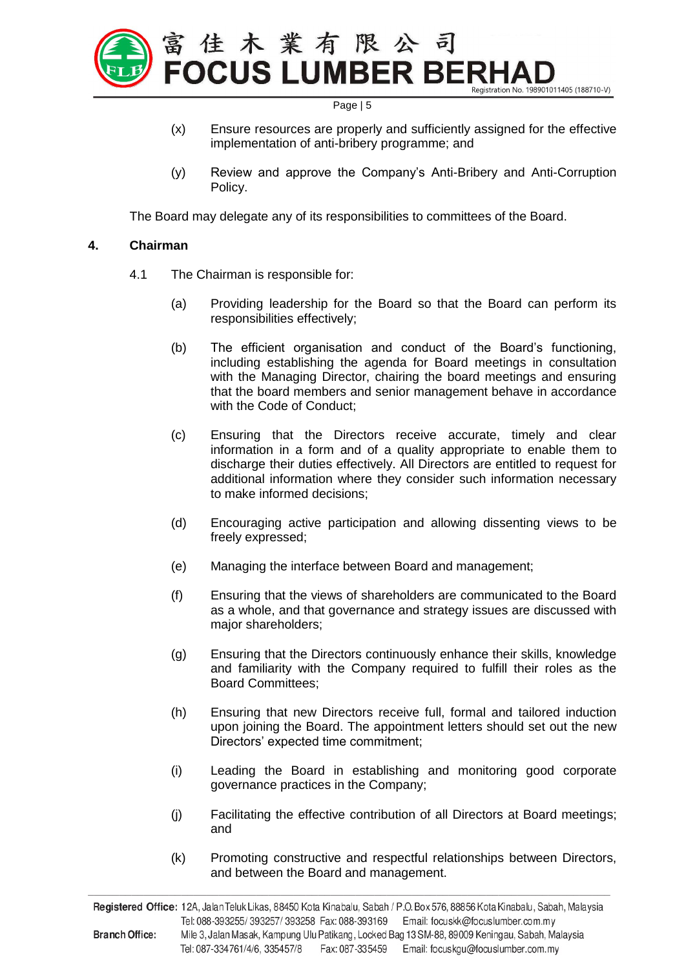

- (x) Ensure resources are properly and sufficiently assigned for the effective implementation of anti-bribery programme; and
- (y) Review and approve the Company's Anti-Bribery and Anti-Corruption Policy.

The Board may delegate any of its responsibilities to committees of the Board.

#### **4. Chairman**

- 4.1 The Chairman is responsible for:
	- (a) Providing leadership for the Board so that the Board can perform its responsibilities effectively;
	- (b) The efficient organisation and conduct of the Board's functioning, including establishing the agenda for Board meetings in consultation with the Managing Director, chairing the board meetings and ensuring that the board members and senior management behave in accordance with the Code of Conduct;
	- (c) Ensuring that the Directors receive accurate, timely and clear information in a form and of a quality appropriate to enable them to discharge their duties effectively. All Directors are entitled to request for additional information where they consider such information necessary to make informed decisions;
	- (d) Encouraging active participation and allowing dissenting views to be freely expressed;
	- (e) Managing the interface between Board and management;
	- (f) Ensuring that the views of shareholders are communicated to the Board as a whole, and that governance and strategy issues are discussed with major shareholders;
	- (g) Ensuring that the Directors continuously enhance their skills, knowledge and familiarity with the Company required to fulfill their roles as the Board Committees;
	- (h) Ensuring that new Directors receive full, formal and tailored induction upon joining the Board. The appointment letters should set out the new Directors' expected time commitment;
	- (i) Leading the Board in establishing and monitoring good corporate governance practices in the Company;
	- (j) Facilitating the effective contribution of all Directors at Board meetings; and
	- (k) Promoting constructive and respectful relationships between Directors, and between the Board and management.

Registered Office: 12A, Jalan Teluk Likas, 88450 Kota Kinabalu, Sabah / P.O. Box 576, 88856 Kota Kinabalu, Sabah, Malaysia Tel: 088-393255/393257/393258 Fax: 088-393169 Email: focuskk@focuslumber.com.my Mile 3, Jalan Masak, Kampung Ulu Patikang, Locked Bag 13 SM-88, 89009 Keningau, Sabah, Malaysia **Branch Office:** Tel: 087-334761/4/6, 335457/8 Fax: 087-335459 Email: focuskgu@focuslumber.com.my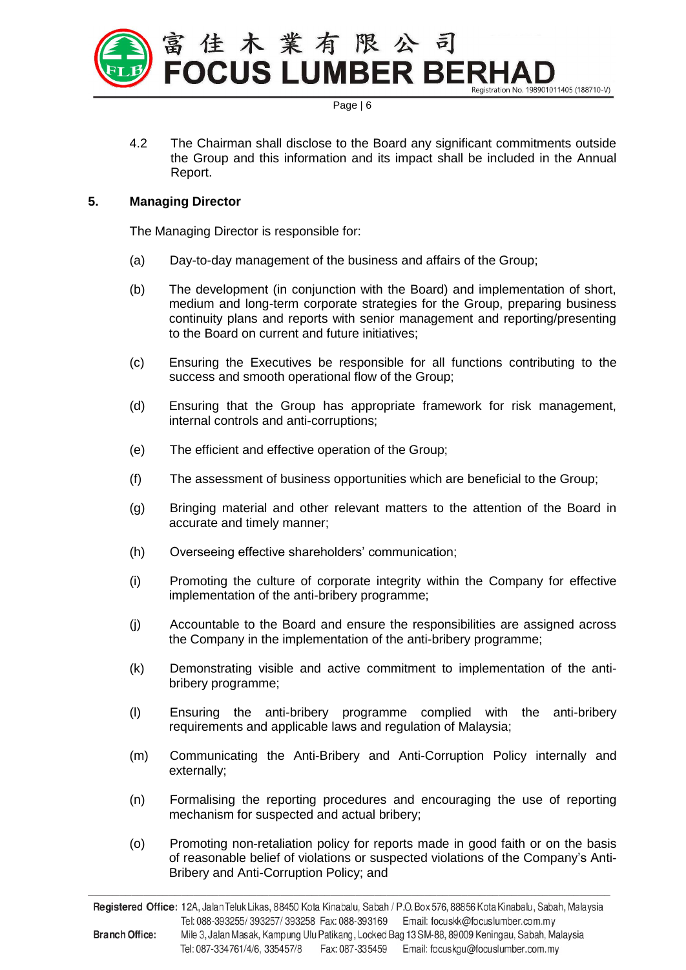

4.2 The Chairman shall disclose to the Board any significant commitments outside the Group and this information and its impact shall be included in the Annual Report.

# **5. Managing Director**

The Managing Director is responsible for:

- (a) Day-to-day management of the business and affairs of the Group;
- (b) The development (in conjunction with the Board) and implementation of short, medium and long-term corporate strategies for the Group, preparing business continuity plans and reports with senior management and reporting/presenting to the Board on current and future initiatives;
- (c) Ensuring the Executives be responsible for all functions contributing to the success and smooth operational flow of the Group;
- (d) Ensuring that the Group has appropriate framework for risk management, internal controls and anti-corruptions;
- (e) The efficient and effective operation of the Group;
- (f) The assessment of business opportunities which are beneficial to the Group;
- (g) Bringing material and other relevant matters to the attention of the Board in accurate and timely manner;
- (h) Overseeing effective shareholders' communication;
- (i) Promoting the culture of corporate integrity within the Company for effective implementation of the anti-bribery programme;
- (j) Accountable to the Board and ensure the responsibilities are assigned across the Company in the implementation of the anti-bribery programme;
- (k) Demonstrating visible and active commitment to implementation of the antibribery programme;
- (l) Ensuring the anti-bribery programme complied with the anti-bribery requirements and applicable laws and regulation of Malaysia;
- (m) Communicating the Anti-Bribery and Anti-Corruption Policy internally and externally;
- (n) Formalising the reporting procedures and encouraging the use of reporting mechanism for suspected and actual bribery;
- (o) Promoting non-retaliation policy for reports made in good faith or on the basis of reasonable belief of violations or suspected violations of the Company's Anti-Bribery and Anti-Corruption Policy; and

Registered Office: 12A, Jalan Teluk Likas, 88450 Kota Kinabalu, Sabah / P.O. Box 576, 88856 Kota Kinabalu, Sabah, Malaysia Tel: 088-393255/393257/393258 Fax: 088-393169 Email: focuskk@focuslumber.com.my **Branch Office:** Mile 3, Jalan Masak, Kampung Ulu Patikang, Locked Bag 13 SM-88, 89009 Keningau, Sabah, Malaysia Tel: 087-334761/4/6, 335457/8 Fax: 087-335459 Email: focuskgu@focuslumber.com.my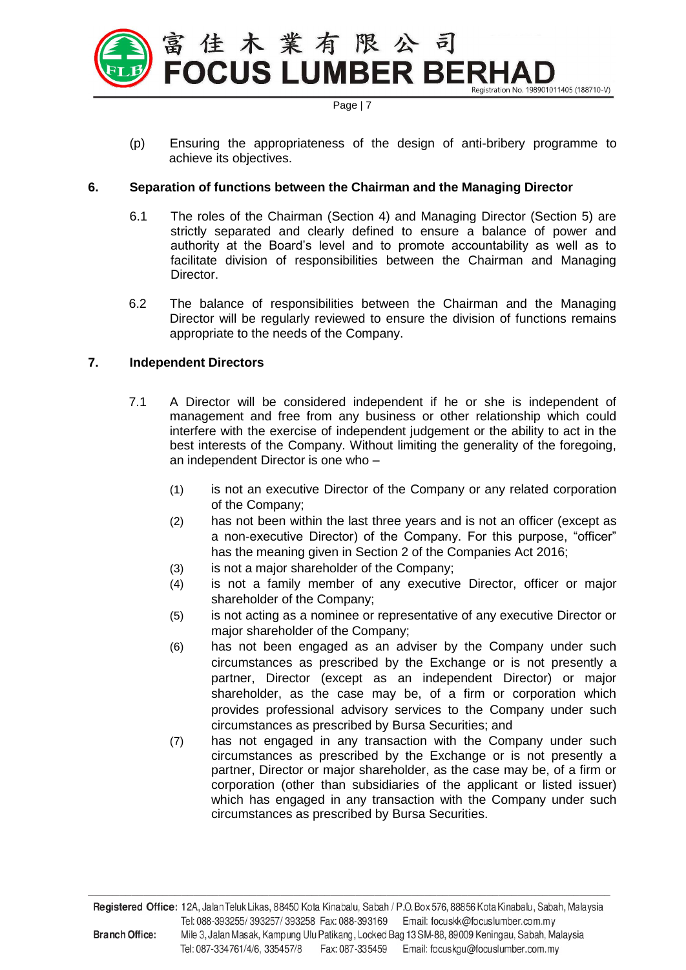

(p) Ensuring the appropriateness of the design of anti-bribery programme to achieve its objectives.

## **6. Separation of functions between the Chairman and the Managing Director**

- 6.1 The roles of the Chairman (Section 4) and Managing Director (Section 5) are strictly separated and clearly defined to ensure a balance of power and authority at the Board's level and to promote accountability as well as to facilitate division of responsibilities between the Chairman and Managing Director.
- 6.2 The balance of responsibilities between the Chairman and the Managing Director will be regularly reviewed to ensure the division of functions remains appropriate to the needs of the Company.

# **7. Independent Directors**

- 7.1 A Director will be considered independent if he or she is independent of management and free from any business or other relationship which could interfere with the exercise of independent judgement or the ability to act in the best interests of the Company. Without limiting the generality of the foregoing, an independent Director is one who –
	- (1) is not an executive Director of the Company or any related corporation of the Company;
	- (2) has not been within the last three years and is not an officer (except as a non-executive Director) of the Company. For this purpose, "officer" has the meaning given in Section 2 of the Companies Act 2016;
	- (3) is not a major shareholder of the Company;
	- (4) is not a family member of any executive Director, officer or major shareholder of the Company;
	- (5) is not acting as a nominee or representative of any executive Director or major shareholder of the Company;
	- (6) has not been engaged as an adviser by the Company under such circumstances as prescribed by the Exchange or is not presently a partner, Director (except as an independent Director) or major shareholder, as the case may be, of a firm or corporation which provides professional advisory services to the Company under such circumstances as prescribed by Bursa Securities; and
	- (7) has not engaged in any transaction with the Company under such circumstances as prescribed by the Exchange or is not presently a partner, Director or major shareholder, as the case may be, of a firm or corporation (other than subsidiaries of the applicant or listed issuer) which has engaged in any transaction with the Company under such circumstances as prescribed by Bursa Securities.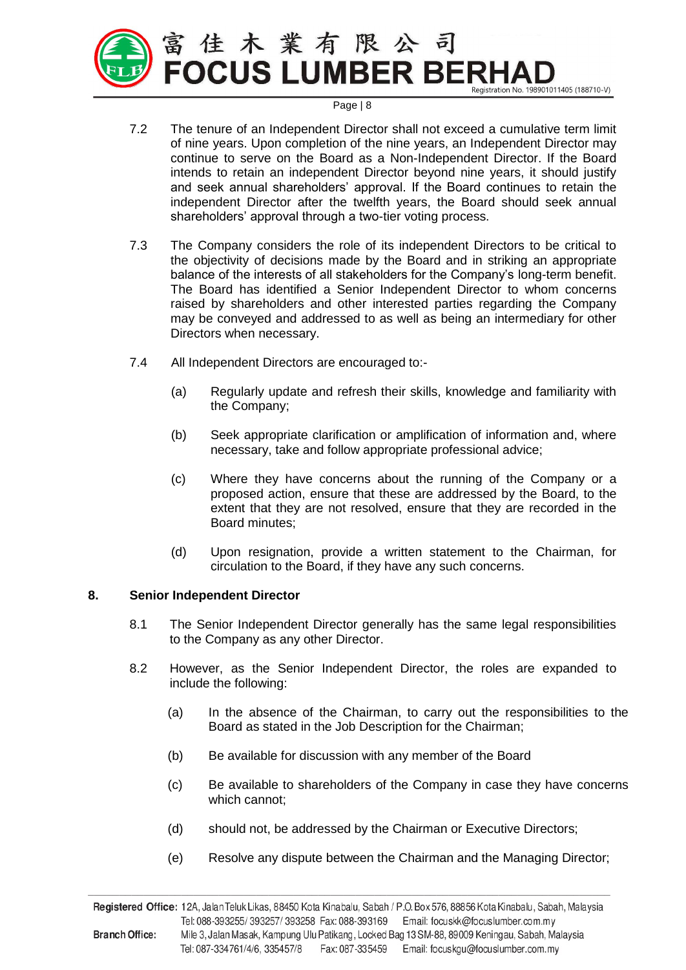

- 7.2 The tenure of an Independent Director shall not exceed a cumulative term limit of nine years. Upon completion of the nine years, an Independent Director may continue to serve on the Board as a Non-Independent Director. If the Board intends to retain an independent Director beyond nine years, it should justify and seek annual shareholders' approval. If the Board continues to retain the independent Director after the twelfth years, the Board should seek annual shareholders' approval through a two-tier voting process.
- 7.3 The Company considers the role of its independent Directors to be critical to the objectivity of decisions made by the Board and in striking an appropriate balance of the interests of all stakeholders for the Company's long-term benefit. The Board has identified a Senior Independent Director to whom concerns raised by shareholders and other interested parties regarding the Company may be conveyed and addressed to as well as being an intermediary for other Directors when necessary.
- 7.4 All Independent Directors are encouraged to:-
	- (a) Regularly update and refresh their skills, knowledge and familiarity with the Company;
	- (b) Seek appropriate clarification or amplification of information and, where necessary, take and follow appropriate professional advice;
	- (c) Where they have concerns about the running of the Company or a proposed action, ensure that these are addressed by the Board, to the extent that they are not resolved, ensure that they are recorded in the Board minutes;
	- (d) Upon resignation, provide a written statement to the Chairman, for circulation to the Board, if they have any such concerns.

## **8. Senior Independent Director**

- 8.1 The Senior Independent Director generally has the same legal responsibilities to the Company as any other Director.
- 8.2 However, as the Senior Independent Director, the roles are expanded to include the following:
	- (a) In the absence of the Chairman, to carry out the responsibilities to the Board as stated in the Job Description for the Chairman;
	- (b) Be available for discussion with any member of the Board
	- (c) Be available to shareholders of the Company in case they have concerns which cannot;
	- (d) should not, be addressed by the Chairman or Executive Directors;
	- (e) Resolve any dispute between the Chairman and the Managing Director;

Registered Office: 12A, Jalan Teluk Likas, 88450 Kota Kinabalu, Sabah / P.O. Box 576, 88856 Kota Kinabalu, Sabah, Malaysia Tel: 088-393255/393257/393258 Fax: 088-393169 Email: focuskk@focuslumber.com.my **Branch Office:** Mile 3, Jalan Masak, Kampung Ulu Patikang, Locked Bag 13 SM-88, 89009 Keningau, Sabah, Malaysia Tel: 087-334761/4/6, 335457/8 Fax: 087-335459 Email: focuskgu@focuslumber.com.my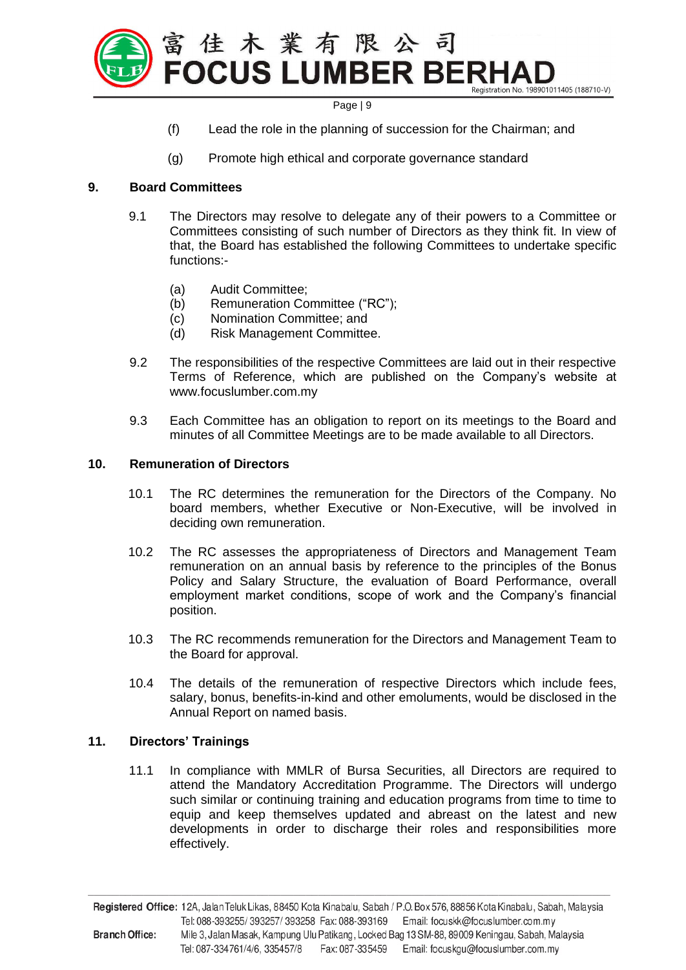

- (f) Lead the role in the planning of succession for the Chairman; and
- (g) Promote high ethical and corporate governance standard

#### **9. Board Committees**

- 9.1 The Directors may resolve to delegate any of their powers to a Committee or Committees consisting of such number of Directors as they think fit. In view of that, the Board has established the following Committees to undertake specific functions:-
	- (a) Audit Committee;
	- (b) Remuneration Committee ("RC");
	- (c) Nomination Committee; and
	- (d) Risk Management Committee.
- 9.2 The responsibilities of the respective Committees are laid out in their respective Terms of Reference, which are published on the Company's website at www.focuslumber.com.my
- 9.3 Each Committee has an obligation to report on its meetings to the Board and minutes of all Committee Meetings are to be made available to all Directors.

## **10. Remuneration of Directors**

- 10.1 The RC determines the remuneration for the Directors of the Company. No board members, whether Executive or Non-Executive, will be involved in deciding own remuneration.
- 10.2 The RC assesses the appropriateness of Directors and Management Team remuneration on an annual basis by reference to the principles of the Bonus Policy and Salary Structure, the evaluation of Board Performance, overall employment market conditions, scope of work and the Company's financial position.
- 10.3 The RC recommends remuneration for the Directors and Management Team to the Board for approval.
- 10.4 The details of the remuneration of respective Directors which include fees, salary, bonus, benefits-in-kind and other emoluments, would be disclosed in the Annual Report on named basis.

#### **11. Directors' Trainings**

11.1 In compliance with MMLR of Bursa Securities, all Directors are required to attend the Mandatory Accreditation Programme. The Directors will undergo such similar or continuing training and education programs from time to time to equip and keep themselves updated and abreast on the latest and new developments in order to discharge their roles and responsibilities more effectively.

Registered Office: 12A, Jalan Teluk Likas, 88450 Kota Kinabalu, Sabah / P.O. Box 576, 88856 Kota Kinabalu, Sabah, Malaysia Tel: 088-393255/393257/393258 Fax: 088-393169 Email: focuskk@focuslumber.com.my **Branch Office:** Mile 3, Jalan Masak, Kampung Ulu Patikang, Locked Bag 13 SM-88, 89009 Keningau, Sabah, Malaysia Tel: 087-334761/4/6, 335457/8 Fax: 087-335459 Email: focuskgu@focuslumber.com.my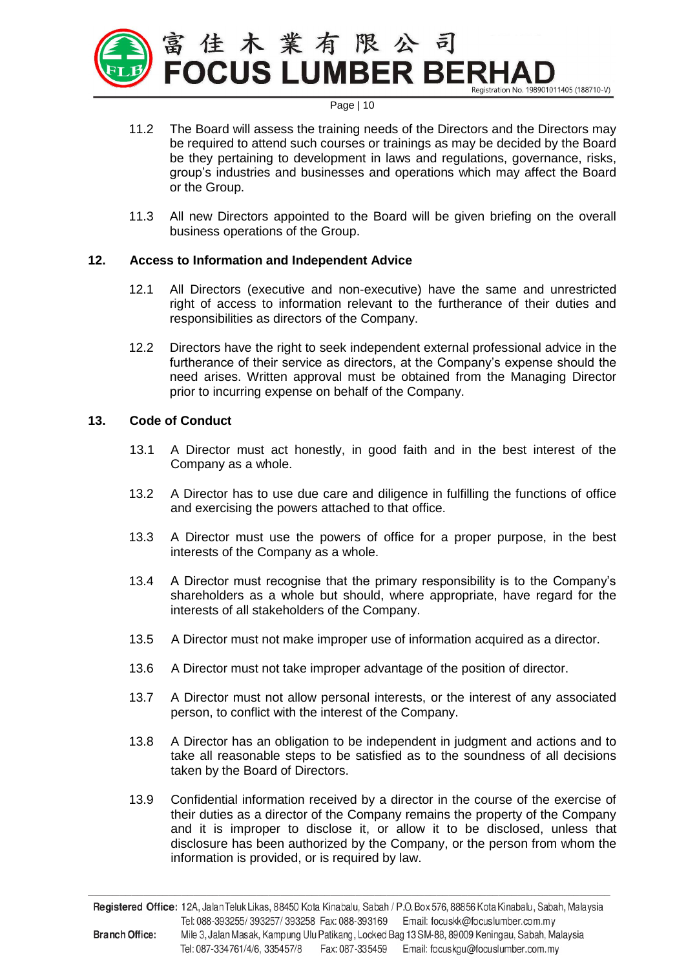

- 11.2 The Board will assess the training needs of the Directors and the Directors may be required to attend such courses or trainings as may be decided by the Board be they pertaining to development in laws and regulations, governance, risks, group's industries and businesses and operations which may affect the Board or the Group.
- 11.3 All new Directors appointed to the Board will be given briefing on the overall business operations of the Group.

## **12. Access to Information and Independent Advice**

- 12.1 All Directors (executive and non-executive) have the same and unrestricted right of access to information relevant to the furtherance of their duties and responsibilities as directors of the Company.
- 12.2 Directors have the right to seek independent external professional advice in the furtherance of their service as directors, at the Company's expense should the need arises. Written approval must be obtained from the Managing Director prior to incurring expense on behalf of the Company.

#### **13. Code of Conduct**

- 13.1 A Director must act honestly, in good faith and in the best interest of the Company as a whole.
- 13.2 A Director has to use due care and diligence in fulfilling the functions of office and exercising the powers attached to that office.
- 13.3 A Director must use the powers of office for a proper purpose, in the best interests of the Company as a whole.
- 13.4 A Director must recognise that the primary responsibility is to the Company's shareholders as a whole but should, where appropriate, have regard for the interests of all stakeholders of the Company.
- 13.5 A Director must not make improper use of information acquired as a director.
- 13.6 A Director must not take improper advantage of the position of director.
- 13.7 A Director must not allow personal interests, or the interest of any associated person, to conflict with the interest of the Company.
- 13.8 A Director has an obligation to be independent in judgment and actions and to take all reasonable steps to be satisfied as to the soundness of all decisions taken by the Board of Directors.
- 13.9 Confidential information received by a director in the course of the exercise of their duties as a director of the Company remains the property of the Company and it is improper to disclose it, or allow it to be disclosed, unless that disclosure has been authorized by the Company, or the person from whom the information is provided, or is required by law.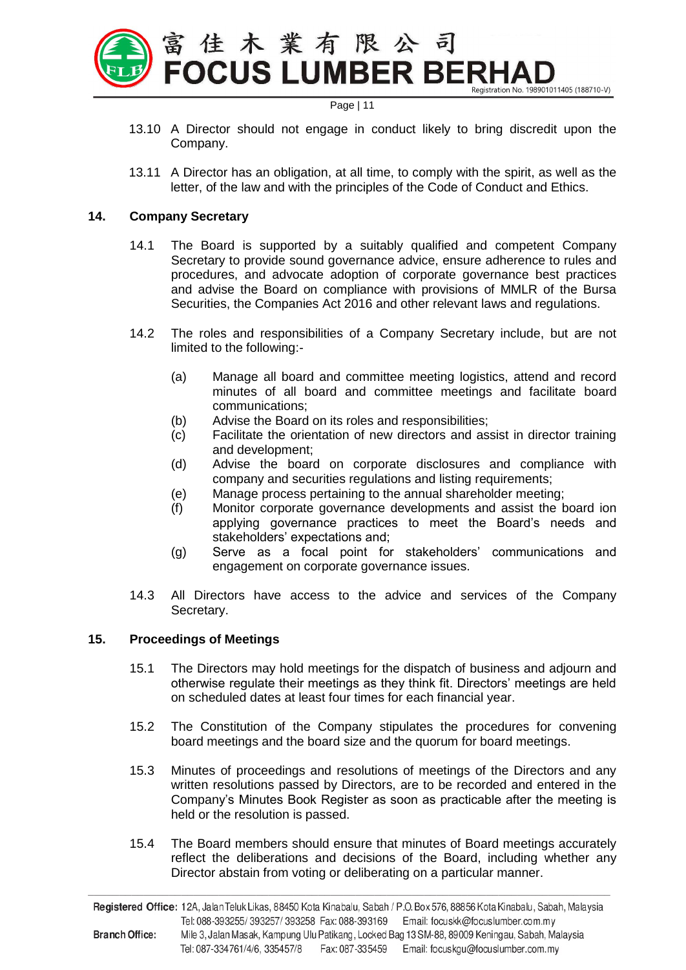

- 13.10 A Director should not engage in conduct likely to bring discredit upon the Company.
- 13.11 A Director has an obligation, at all time, to comply with the spirit, as well as the letter, of the law and with the principles of the Code of Conduct and Ethics.

#### **14. Company Secretary**

- 14.1 The Board is supported by a suitably qualified and competent Company Secretary to provide sound governance advice, ensure adherence to rules and procedures, and advocate adoption of corporate governance best practices and advise the Board on compliance with provisions of MMLR of the Bursa Securities, the Companies Act 2016 and other relevant laws and regulations.
- 14.2 The roles and responsibilities of a Company Secretary include, but are not limited to the following:-
	- (a) Manage all board and committee meeting logistics, attend and record minutes of all board and committee meetings and facilitate board communications;
	- (b) Advise the Board on its roles and responsibilities;
	- (c) Facilitate the orientation of new directors and assist in director training and development;
	- (d) Advise the board on corporate disclosures and compliance with company and securities regulations and listing requirements;
	- (e) Manage process pertaining to the annual shareholder meeting;
	- (f) Monitor corporate governance developments and assist the board ion applying governance practices to meet the Board's needs and stakeholders' expectations and;
	- (g) Serve as a focal point for stakeholders' communications and engagement on corporate governance issues.
- 14.3 All Directors have access to the advice and services of the Company Secretary.

## **15. Proceedings of Meetings**

- 15.1 The Directors may hold meetings for the dispatch of business and adjourn and otherwise regulate their meetings as they think fit. Directors' meetings are held on scheduled dates at least four times for each financial year.
- 15.2 The Constitution of the Company stipulates the procedures for convening board meetings and the board size and the quorum for board meetings.
- 15.3 Minutes of proceedings and resolutions of meetings of the Directors and any written resolutions passed by Directors, are to be recorded and entered in the Company's Minutes Book Register as soon as practicable after the meeting is held or the resolution is passed.
- 15.4 The Board members should ensure that minutes of Board meetings accurately reflect the deliberations and decisions of the Board, including whether any Director abstain from voting or deliberating on a particular manner.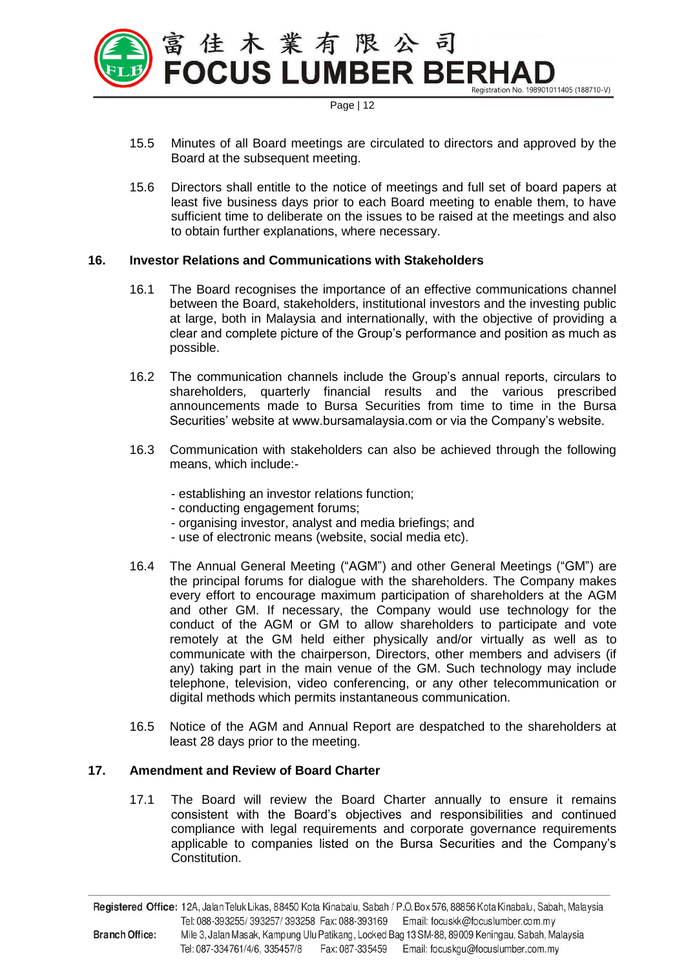

- 15.5 Minutes of all Board meetings are circulated to directors and approved by the Board at the subsequent meeting.
- 15.6 Directors shall entitle to the notice of meetings and full set of board papers at least five business days prior to each Board meeting to enable them, to have sufficient time to deliberate on the issues to be raised at the meetings and also to obtain further explanations, where necessary.

## **16. Investor Relations and Communications with Stakeholders**

- 16.1 The Board recognises the importance of an effective communications channel between the Board, stakeholders, institutional investors and the investing public at large, both in Malaysia and internationally, with the objective of providing a clear and complete picture of the Group's performance and position as much as possible.
- 16.2 The communication channels include the Group's annual reports, circulars to shareholders, quarterly financial results and the various prescribed announcements made to Bursa Securities from time to time in the Bursa Securities' website at www.bursamalaysia.com or via the Company's website.
- 16.3 Communication with stakeholders can also be achieved through the following means, which include:-
	- establishing an investor relations function;
	- conducting engagement forums;
	- organising investor, analyst and media briefings; and
	- use of electronic means (website, social media etc).
- 16.4 The Annual General Meeting ("AGM") and other General Meetings ("GM") are the principal forums for dialogue with the shareholders. The Company makes every effort to encourage maximum participation of shareholders at the AGM and other GM. If necessary, the Company would use technology for the conduct of the AGM or GM to allow shareholders to participate and vote remotely at the GM held either physically and/or virtually as well as to communicate with the chairperson, Directors, other members and advisers (if any) taking part in the main venue of the GM. Such technology may include telephone, television, video conferencing, or any other telecommunication or digital methods which permits instantaneous communication.
- 16.5 Notice of the AGM and Annual Report are despatched to the shareholders at least 28 days prior to the meeting.

## **17. Amendment and Review of Board Charter**

17.1 The Board will review the Board Charter annually to ensure it remains consistent with the Board's objectives and responsibilities and continued compliance with legal requirements and corporate governance requirements applicable to companies listed on the Bursa Securities and the Company's Constitution.

Registered Office: 12A, Jalan Teluk Likas, 88450 Kota Kinabalu, Sabah / P.O. Box 576, 88856 Kota Kinabalu, Sabah, Malaysia Tel: 088-393255/393257/393258 Fax: 088-393169 Email: focuskk@focuslumber.com.my **Branch Office:** Mile 3, Jalan Masak, Kampung Ulu Patikang, Locked Bag 13 SM-88, 89009 Keningau, Sabah, Malaysia Tel: 087-334761/4/6, 335457/8 Fax: 087-335459 Email: focuskgu@focuslumber.com.my